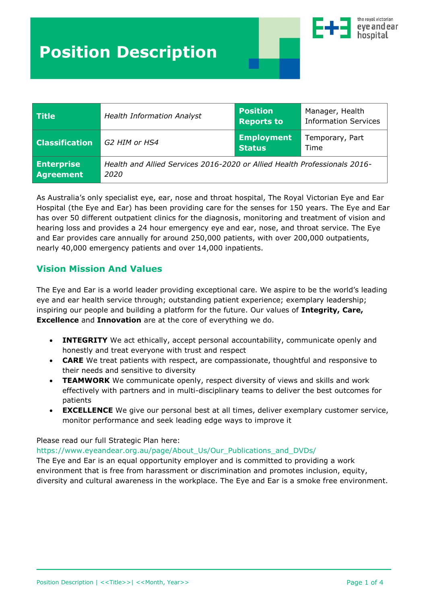

| <b>Title</b>                   | <b>Health Information Analyst</b>                                                 | <b>Position</b><br><b>Reports to</b> | Manager, Health<br><b>Information Services</b> |
|--------------------------------|-----------------------------------------------------------------------------------|--------------------------------------|------------------------------------------------|
| <b>Classification</b>          | G2 HIM or HS4                                                                     | <b>Employment</b><br><b>Status</b>   | Temporary, Part<br>Time                        |
| <b>Enterprise</b><br>Agreement | Health and Allied Services 2016-2020 or Allied Health Professionals 2016-<br>2020 |                                      |                                                |

As Australia's only specialist eye, ear, nose and throat hospital, The Royal Victorian Eye and Ear Hospital (the Eye and Ear) has been providing care for the senses for 150 years. The Eye and Ear has over 50 different outpatient clinics for the diagnosis, monitoring and treatment of vision and hearing loss and provides a 24 hour emergency eye and ear, nose, and throat service. The Eye and Ear provides care annually for around 250,000 patients, with over 200,000 outpatients, nearly 40,000 emergency patients and over 14,000 inpatients.

# **Vision Mission And Values**

The Eye and Ear is a world leader providing exceptional care. We aspire to be the world's leading eye and ear health service through; outstanding patient experience; exemplary leadership; inspiring our people and building a platform for the future. Our values of **Integrity, Care, Excellence** and **Innovation** are at the core of everything we do.

- **INTEGRITY** We act ethically, accept personal accountability, communicate openly and honestly and treat everyone with trust and respect
- **CARE** We treat patients with respect, are compassionate, thoughtful and responsive to their needs and sensitive to diversity
- **TEAMWORK** We communicate openly, respect diversity of views and skills and work effectively with partners and in multi-disciplinary teams to deliver the best outcomes for patients
- **EXCELLENCE** We give our personal best at all times, deliver exemplary customer service, monitor performance and seek leading edge ways to improve it

### Please read our full Strategic Plan here:

#### [https://www.eyeandear.org.au/page/About\\_Us/Our\\_Publications\\_and\\_DVDs/](https://www.eyeandear.org.au/page/About_Us/Our_Publications_and_DVDs/)

The Eye and Ear is an equal opportunity employer and is committed to providing a work environment that is free from harassment or discrimination and promotes inclusion, equity, diversity and cultural awareness in the workplace. The Eye and Ear is a smoke free environment.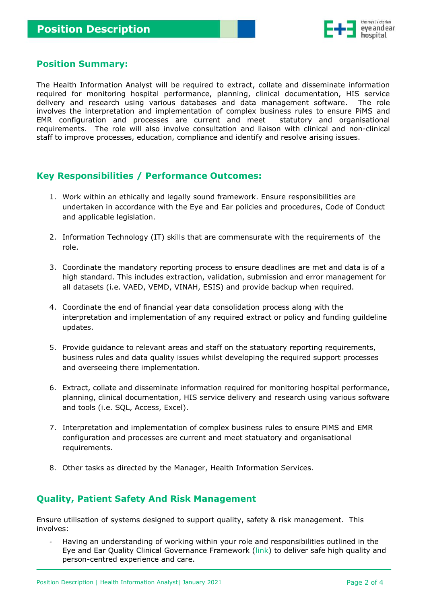

## **Position Summary:**

The Health Information Analyst will be required to extract, collate and disseminate information required for monitoring hospital performance, planning, clinical documentation, HIS service delivery and research using various databases and data management software. The role involves the interpretation and implementation of complex business rules to ensure PiMS and EMR configuration and processes are current and meet statutory and organisational requirements. The role will also involve consultation and liaison with clinical and non-clinical staff to improve processes, education, compliance and identify and resolve arising issues.

# **Key Responsibilities / Performance Outcomes:**

- 1. Work within an ethically and legally sound framework. Ensure responsibilities are undertaken in accordance with the Eye and Ear policies and procedures, Code of Conduct and applicable legislation.
- 2. Information Technology (IT) skills that are commensurate with the requirements of the role.
- 3. Coordinate the mandatory reporting process to ensure deadlines are met and data is of a high standard. This includes extraction, validation, submission and error management for all datasets (i.e. VAED, VEMD, VINAH, ESIS) and provide backup when required.
- 4. Coordinate the end of financial year data consolidation process along with the interpretation and implementation of any required extract or policy and funding guildeline updates.
- 5. Provide guidance to relevant areas and staff on the statuatory reporting requirements, business rules and data quality issues whilst developing the required support processes and overseeing there implementation.
- 6. Extract, collate and disseminate information required for monitoring hospital performance, planning, clinical documentation, HIS service delivery and research using various software and tools (i.e. SQL, Access, Excel).
- 7. Interpretation and implementation of complex business rules to ensure PiMS and EMR configuration and processes are current and meet statuatory and organisational requirements.
- 8. Other tasks as directed by the Manager, Health Information Services.

# **Quality, Patient Safety And Risk Management**

Ensure utilisation of systems designed to support quality, safety & risk management. This involves:

*-* Having an understanding of working within your role and responsibilities outlined in the Eye and Ear Quality Clinical Governance Framework [\(link\)](http://home.rveeh.local/InfoHub/Policy/Procedures/Quality%20and%20Clinical%20Governance%20Framework.docx) to deliver safe high quality and person-centred experience and care.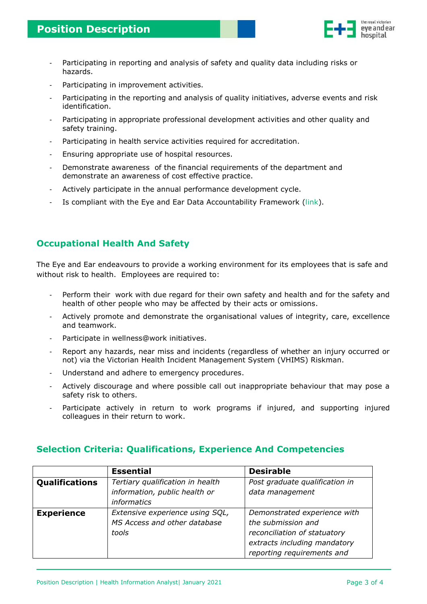

- *-* Participating in reporting and analysis of safety and quality data including risks or hazards.
- *-* Participating in improvement activities.
- Participating in the reporting and analysis of quality initiatives, adverse events and risk identification.
- Participating in appropriate professional development activities and other quality and safety training.
- *-* Participating in health service activities required for accreditation.
- *-* Ensuring appropriate use of hospital resources.
- *-* Demonstrate awareness of the financial requirements of the department and demonstrate an awareness of cost effective practice.
- *-* Actively participate in the annual performance development cycle.
- Is compliant with the Eye and Ear Data Accountability Framework [\(link\)](http://home.rveeh.local/InfoHub/Policy/Procedures/Data%20Accountability%20Framework.docx).

# **Occupational Health And Safety**

The Eye and Ear endeavours to provide a working environment for its employees that is safe and without risk to health. Employees are required to:

- *-* Perform their work with due regard for their own safety and health and for the safety and health of other people who may be affected by their acts or omissions.
- *-* Actively promote and demonstrate the organisational values of integrity, care, excellence and teamwork.
- *-* Participate in wellness@work initiatives.
- *-* Report any hazards, near miss and incidents (regardless of whether an injury occurred or not) via the Victorian Health Incident Management System (VHIMS) Riskman.
- Understand and adhere to emergency procedures.
- *-* Actively discourage and where possible call out inappropriate behaviour that may pose a safety risk to others.
- Participate actively in return to work programs if injured, and supporting injured colleagues in their return to work.

|                   | <b>Essential</b>                 | <b>Desirable</b>               |
|-------------------|----------------------------------|--------------------------------|
| Qualifications    | Tertiary qualification in health | Post graduate qualification in |
|                   | information, public health or    | data management                |
|                   | <i>informatics</i>               |                                |
| <b>Experience</b> | Extensive experience using SQL,  | Demonstrated experience with   |
|                   | MS Access and other database     | the submission and             |
|                   | tools                            | reconciliation of statuatory   |
|                   |                                  | extracts including mandatory   |
|                   |                                  | reporting requirements and     |

## **Selection Criteria: Qualifications, Experience And Competencies**